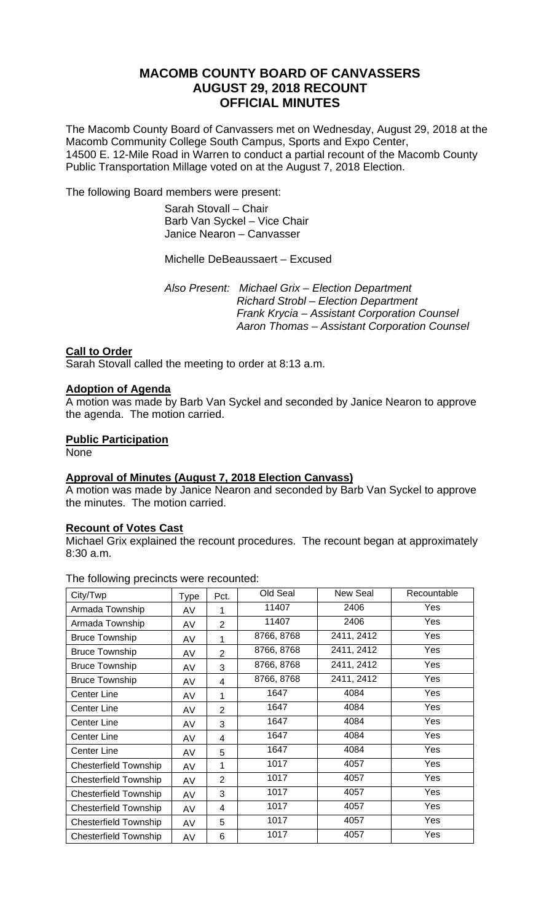# **MACOMB COUNTY BOARD OF CANVASSERS AUGUST 29, 2018 RECOUNT OFFICIAL MINUTES**

The Macomb County Board of Canvassers met on Wednesday, August 29, 2018 at the Macomb Community College South Campus, Sports and Expo Center, 14500 E. 12-Mile Road in Warren to conduct a partial recount of the Macomb County Public Transportation Millage voted on at the August 7, 2018 Election.

The following Board members were present:

 Sarah Stovall – Chair Barb Van Syckel – Vice Chair Janice Nearon – Canvasser

## Michelle DeBeaussaert – Excused

 *Also Present: Michael Grix – Election Department Richard Strobl – Election Department Frank Krycia – Assistant Corporation Counsel Aaron Thomas – Assistant Corporation Counsel* 

## **Call to Order**

Sarah Stovall called the meeting to order at 8:13 a.m.

## **Adoption of Agenda**

A motion was made by Barb Van Syckel and seconded by Janice Nearon to approve the agenda. The motion carried.

## **Public Participation**

None

## **Approval of Minutes (August 7, 2018 Election Canvass)**

A motion was made by Janice Nearon and seconded by Barb Van Syckel to approve the minutes. The motion carried.

## **Recount of Votes Cast**

Michael Grix explained the recount procedures. The recount began at approximately 8:30 a.m.

The following precincts were recounted:

| City/Twp                     | Type | Pct.                    | Old Seal   | New Seal   | Recountable |
|------------------------------|------|-------------------------|------------|------------|-------------|
| Armada Township              | AV   | 1                       | 11407      | 2406       | Yes         |
| Armada Township              | AV   | $\overline{2}$          | 11407      | 2406       | Yes         |
| <b>Bruce Township</b>        | AV   | 1                       | 8766, 8768 | 2411, 2412 | Yes         |
| <b>Bruce Township</b>        | AV   | $\overline{2}$          | 8766, 8768 | 2411, 2412 | Yes         |
| <b>Bruce Township</b>        | AV   | 3                       | 8766, 8768 | 2411, 2412 | Yes         |
| <b>Bruce Township</b>        | AV   | 4                       | 8766, 8768 | 2411, 2412 | Yes         |
| <b>Center Line</b>           | AV   | 1                       | 1647       | 4084       | Yes         |
| Center Line                  | AV   | 2                       | 1647       | 4084       | Yes         |
| Center Line                  | AV   | 3                       | 1647       | 4084       | Yes         |
| <b>Center Line</b>           | AV   | $\overline{\mathbf{4}}$ | 1647       | 4084       | Yes         |
| <b>Center Line</b>           | AV   | 5                       | 1647       | 4084       | Yes         |
| <b>Chesterfield Township</b> | AV   | 1                       | 1017       | 4057       | Yes         |
| <b>Chesterfield Township</b> | AV   | $\overline{2}$          | 1017       | 4057       | Yes         |
| <b>Chesterfield Township</b> | AV   | 3                       | 1017       | 4057       | Yes         |
| <b>Chesterfield Township</b> | AV   | 4                       | 1017       | 4057       | Yes         |
| <b>Chesterfield Township</b> | AV   | 5                       | 1017       | 4057       | Yes         |
| <b>Chesterfield Township</b> | AV   | 6                       | 1017       | 4057       | Yes         |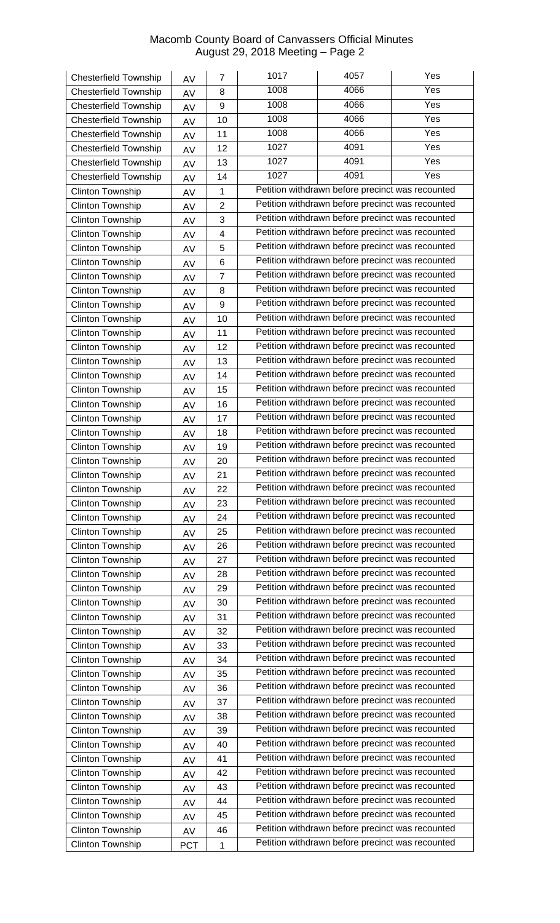| <b>Chesterfield Township</b>                | AV         | 7              | 1017                                             | 4057                                                                                                 | Yes              |  |  |
|---------------------------------------------|------------|----------------|--------------------------------------------------|------------------------------------------------------------------------------------------------------|------------------|--|--|
| <b>Chesterfield Township</b>                | AV         | 8              | 1008                                             | 4066                                                                                                 | $\overline{Yes}$ |  |  |
| <b>Chesterfield Township</b>                | AV         | 9              | 1008                                             | 4066                                                                                                 | Yes              |  |  |
| <b>Chesterfield Township</b>                | AV         | 10             | 1008                                             | 4066                                                                                                 | Yes              |  |  |
| <b>Chesterfield Township</b>                | AV         | 11             | 1008                                             | 4066                                                                                                 | Yes              |  |  |
| <b>Chesterfield Township</b>                | AV         | 12             | 1027                                             | 4091                                                                                                 | Yes              |  |  |
| <b>Chesterfield Township</b>                | AV         | 13             | 1027                                             | 4091                                                                                                 | Yes              |  |  |
| <b>Chesterfield Township</b>                | AV         | 14             | 1027                                             | 4091                                                                                                 | Yes              |  |  |
| Clinton Township                            | AV         | $\mathbf{1}$   |                                                  | Petition withdrawn before precinct was recounted                                                     |                  |  |  |
| Clinton Township                            | AV         | $\overline{2}$ |                                                  | Petition withdrawn before precinct was recounted                                                     |                  |  |  |
| Clinton Township                            | AV         | 3              |                                                  | Petition withdrawn before precinct was recounted                                                     |                  |  |  |
| Clinton Township                            | AV         | 4              |                                                  | Petition withdrawn before precinct was recounted                                                     |                  |  |  |
| <b>Clinton Township</b>                     | AV         | 5              |                                                  | Petition withdrawn before precinct was recounted                                                     |                  |  |  |
| Clinton Township                            | AV         | 6              |                                                  | Petition withdrawn before precinct was recounted                                                     |                  |  |  |
| Clinton Township                            | AV         | $\overline{7}$ |                                                  | Petition withdrawn before precinct was recounted                                                     |                  |  |  |
| <b>Clinton Township</b>                     | AV         | 8              |                                                  | Petition withdrawn before precinct was recounted                                                     |                  |  |  |
| Clinton Township                            | AV         | 9              |                                                  | Petition withdrawn before precinct was recounted                                                     |                  |  |  |
| <b>Clinton Township</b>                     | AV         | 10             |                                                  | Petition withdrawn before precinct was recounted                                                     |                  |  |  |
| <b>Clinton Township</b>                     | AV         | 11             |                                                  | Petition withdrawn before precinct was recounted                                                     |                  |  |  |
| Clinton Township                            | AV         | 12             |                                                  | Petition withdrawn before precinct was recounted                                                     |                  |  |  |
| Clinton Township                            | AV         | 13             |                                                  | Petition withdrawn before precinct was recounted                                                     |                  |  |  |
| Clinton Township                            | AV         | 14             |                                                  | Petition withdrawn before precinct was recounted                                                     |                  |  |  |
| Clinton Township                            | AV         | 15             |                                                  | Petition withdrawn before precinct was recounted                                                     |                  |  |  |
| <b>Clinton Township</b>                     | AV         | 16             |                                                  | Petition withdrawn before precinct was recounted                                                     |                  |  |  |
| <b>Clinton Township</b>                     | AV         | 17             |                                                  | Petition withdrawn before precinct was recounted                                                     |                  |  |  |
| <b>Clinton Township</b>                     |            | 18             |                                                  | Petition withdrawn before precinct was recounted                                                     |                  |  |  |
| <b>Clinton Township</b>                     | AV         | 19             | Petition withdrawn before precinct was recounted |                                                                                                      |                  |  |  |
| Clinton Township                            | AV         | 20             |                                                  | Petition withdrawn before precinct was recounted                                                     |                  |  |  |
| <b>Clinton Township</b>                     | AV         | 21             |                                                  | Petition withdrawn before precinct was recounted                                                     |                  |  |  |
| Clinton Township                            | AV         | 22             |                                                  | Petition withdrawn before precinct was recounted                                                     |                  |  |  |
| <b>Clinton Township</b>                     | AV         | 23             |                                                  | Petition withdrawn before precinct was recounted                                                     |                  |  |  |
| Clinton Township                            | AV         | 24             |                                                  | Petition withdrawn before precinct was recounted                                                     |                  |  |  |
| <b>Clinton Township</b>                     | AV         | 25             |                                                  | Petition withdrawn before precinct was recounted                                                     |                  |  |  |
| <b>Clinton Township</b>                     | AV         | 26             |                                                  | Petition withdrawn before precinct was recounted                                                     |                  |  |  |
| Clinton Township                            | AV         | 27             |                                                  | Petition withdrawn before precinct was recounted                                                     |                  |  |  |
| Clinton Township                            | AV         | 28             |                                                  | Petition withdrawn before precinct was recounted                                                     |                  |  |  |
| <b>Clinton Township</b>                     | AV         | 29             |                                                  | Petition withdrawn before precinct was recounted                                                     |                  |  |  |
| Clinton Township                            | AV         | 30             |                                                  | Petition withdrawn before precinct was recounted                                                     |                  |  |  |
| Clinton Township                            | AV         | 31             |                                                  | Petition withdrawn before precinct was recounted                                                     |                  |  |  |
| Clinton Township                            | AV         | 32             |                                                  | Petition withdrawn before precinct was recounted                                                     |                  |  |  |
|                                             | AV         | 33             |                                                  | Petition withdrawn before precinct was recounted                                                     |                  |  |  |
| Clinton Township<br><b>Clinton Township</b> | AV         | 34             |                                                  | Petition withdrawn before precinct was recounted                                                     |                  |  |  |
| <b>Clinton Township</b>                     | AV         | 35             |                                                  | Petition withdrawn before precinct was recounted                                                     |                  |  |  |
|                                             | AV         | 36             |                                                  | Petition withdrawn before precinct was recounted                                                     |                  |  |  |
| <b>Clinton Township</b>                     | AV         |                |                                                  | Petition withdrawn before precinct was recounted                                                     |                  |  |  |
| <b>Clinton Township</b>                     | AV         | 37             |                                                  | Petition withdrawn before precinct was recounted                                                     |                  |  |  |
| <b>Clinton Township</b>                     | AV         | 38             |                                                  | Petition withdrawn before precinct was recounted                                                     |                  |  |  |
| <b>Clinton Township</b>                     | AV         | 39             |                                                  | Petition withdrawn before precinct was recounted                                                     |                  |  |  |
| Clinton Township                            | AV         | 40             |                                                  | Petition withdrawn before precinct was recounted                                                     |                  |  |  |
| <b>Clinton Township</b>                     | AV         | 41             |                                                  |                                                                                                      |                  |  |  |
| <b>Clinton Township</b>                     | AV         | 42             |                                                  | Petition withdrawn before precinct was recounted<br>Petition withdrawn before precinct was recounted |                  |  |  |
| Clinton Township                            | AV         | 43             |                                                  | Petition withdrawn before precinct was recounted                                                     |                  |  |  |
| <b>Clinton Township</b>                     | AV         | 44             |                                                  | Petition withdrawn before precinct was recounted                                                     |                  |  |  |
| Clinton Township                            | AV         | 45             |                                                  |                                                                                                      |                  |  |  |
| Clinton Township                            | AV         | 46             |                                                  | Petition withdrawn before precinct was recounted                                                     |                  |  |  |
| <b>Clinton Township</b>                     | <b>PCT</b> | $\mathbf 1$    |                                                  | Petition withdrawn before precinct was recounted                                                     |                  |  |  |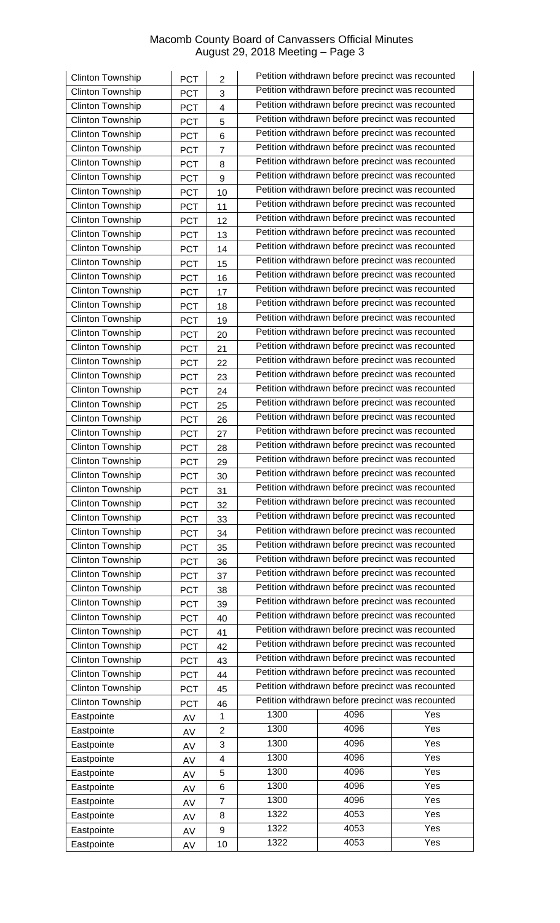| Clinton Township        | PCT        | $\overline{2}$          |                                                                                                      | Petition withdrawn before precinct was recounted |     |  |  |
|-------------------------|------------|-------------------------|------------------------------------------------------------------------------------------------------|--------------------------------------------------|-----|--|--|
| Clinton Township        | PCT        | 3                       |                                                                                                      | Petition withdrawn before precinct was recounted |     |  |  |
| Clinton Township        | PCT        | $\overline{\mathbf{4}}$ |                                                                                                      | Petition withdrawn before precinct was recounted |     |  |  |
| Clinton Township        | <b>PCT</b> | 5                       |                                                                                                      | Petition withdrawn before precinct was recounted |     |  |  |
| <b>Clinton Township</b> | PCT        | 6                       |                                                                                                      | Petition withdrawn before precinct was recounted |     |  |  |
| Clinton Township        | <b>PCT</b> | $\overline{7}$          |                                                                                                      | Petition withdrawn before precinct was recounted |     |  |  |
| Clinton Township        | <b>PCT</b> | 8                       |                                                                                                      | Petition withdrawn before precinct was recounted |     |  |  |
| <b>Clinton Township</b> | <b>PCT</b> | 9                       |                                                                                                      | Petition withdrawn before precinct was recounted |     |  |  |
| <b>Clinton Township</b> | <b>PCT</b> | 10                      |                                                                                                      | Petition withdrawn before precinct was recounted |     |  |  |
| Clinton Township        | <b>PCT</b> | 11                      |                                                                                                      | Petition withdrawn before precinct was recounted |     |  |  |
| Clinton Township        | PCT        | 12                      |                                                                                                      | Petition withdrawn before precinct was recounted |     |  |  |
| Clinton Township        | <b>PCT</b> | 13                      |                                                                                                      | Petition withdrawn before precinct was recounted |     |  |  |
| <b>Clinton Township</b> | <b>PCT</b> | 14                      |                                                                                                      | Petition withdrawn before precinct was recounted |     |  |  |
| Clinton Township        | PCT        | 15                      |                                                                                                      | Petition withdrawn before precinct was recounted |     |  |  |
| Clinton Township        | PCT        | 16                      |                                                                                                      | Petition withdrawn before precinct was recounted |     |  |  |
| Clinton Township        |            |                         |                                                                                                      | Petition withdrawn before precinct was recounted |     |  |  |
| Clinton Township        | <b>PCT</b> | 17                      |                                                                                                      | Petition withdrawn before precinct was recounted |     |  |  |
| Clinton Township        | <b>PCT</b> | 18                      |                                                                                                      | Petition withdrawn before precinct was recounted |     |  |  |
|                         | <b>PCT</b> | 19                      |                                                                                                      | Petition withdrawn before precinct was recounted |     |  |  |
| Clinton Township        | <b>PCT</b> | 20                      |                                                                                                      | Petition withdrawn before precinct was recounted |     |  |  |
| <b>Clinton Township</b> | PCT        | 21                      |                                                                                                      | Petition withdrawn before precinct was recounted |     |  |  |
| <b>Clinton Township</b> | <b>PCT</b> | 22                      |                                                                                                      |                                                  |     |  |  |
| Clinton Township        | <b>PCT</b> | 23                      |                                                                                                      | Petition withdrawn before precinct was recounted |     |  |  |
| Clinton Township        | <b>PCT</b> | 24                      |                                                                                                      | Petition withdrawn before precinct was recounted |     |  |  |
| <b>Clinton Township</b> | <b>PCT</b> | 25                      |                                                                                                      | Petition withdrawn before precinct was recounted |     |  |  |
| Clinton Township        | <b>PCT</b> | 26                      |                                                                                                      | Petition withdrawn before precinct was recounted |     |  |  |
| Clinton Township        | <b>PCT</b> | 27                      |                                                                                                      | Petition withdrawn before precinct was recounted |     |  |  |
| Clinton Township        | <b>PCT</b> | 28                      | Petition withdrawn before precinct was recounted                                                     |                                                  |     |  |  |
| Clinton Township        | <b>PCT</b> | 29                      | Petition withdrawn before precinct was recounted                                                     |                                                  |     |  |  |
| <b>Clinton Township</b> | <b>PCT</b> | 30                      | Petition withdrawn before precinct was recounted<br>Petition withdrawn before precinct was recounted |                                                  |     |  |  |
| Clinton Township        | <b>PCT</b> | 31                      |                                                                                                      |                                                  |     |  |  |
| <b>Clinton Township</b> | <b>PCT</b> | 32                      |                                                                                                      | Petition withdrawn before precinct was recounted |     |  |  |
| Clinton Township        | <b>PCT</b> | 33                      | Petition withdrawn before precinct was recounted                                                     |                                                  |     |  |  |
| <b>Clinton Township</b> | <b>PCT</b> | 34                      | Petition withdrawn before precinct was recounted                                                     |                                                  |     |  |  |
| Clinton Township        | <b>PCT</b> | 35                      | Petition withdrawn before precinct was recounted                                                     |                                                  |     |  |  |
| Clinton Township        | <b>PCT</b> | 36                      | Petition withdrawn before precinct was recounted                                                     |                                                  |     |  |  |
| Clinton Township        | <b>PCT</b> | 37                      | Petition withdrawn before precinct was recounted                                                     |                                                  |     |  |  |
| Clinton Township        | <b>PCT</b> | 38                      | Petition withdrawn before precinct was recounted                                                     |                                                  |     |  |  |
| Clinton Township        | <b>PCT</b> | 39                      | Petition withdrawn before precinct was recounted                                                     |                                                  |     |  |  |
| Clinton Township        | <b>PCT</b> | 40                      |                                                                                                      | Petition withdrawn before precinct was recounted |     |  |  |
| <b>Clinton Township</b> | <b>PCT</b> | 41                      |                                                                                                      | Petition withdrawn before precinct was recounted |     |  |  |
| Clinton Township        | <b>PCT</b> | 42                      |                                                                                                      | Petition withdrawn before precinct was recounted |     |  |  |
| Clinton Township        | <b>PCT</b> | 43                      |                                                                                                      | Petition withdrawn before precinct was recounted |     |  |  |
| Clinton Township        | <b>PCT</b> | 44                      |                                                                                                      | Petition withdrawn before precinct was recounted |     |  |  |
| Clinton Township        | <b>PCT</b> | 45                      |                                                                                                      | Petition withdrawn before precinct was recounted |     |  |  |
| <b>Clinton Township</b> | <b>PCT</b> | 46                      |                                                                                                      | Petition withdrawn before precinct was recounted |     |  |  |
| Eastpointe              | AV         | $\mathbf 1$             | 1300                                                                                                 | 4096                                             | Yes |  |  |
| Eastpointe              | AV         | 2                       | 1300                                                                                                 | 4096                                             | Yes |  |  |
| Eastpointe              | AV         | 3                       | 1300                                                                                                 | 4096                                             | Yes |  |  |
| Eastpointe              | AV         | 4                       | 1300                                                                                                 | 4096                                             | Yes |  |  |
| Eastpointe              | AV         | 5                       | 1300                                                                                                 | 4096                                             | Yes |  |  |
| Eastpointe              | AV         | 6                       | 1300                                                                                                 | 4096                                             | Yes |  |  |
| Eastpointe              | AV         | $\overline{7}$          | 1300                                                                                                 | 4096                                             | Yes |  |  |
| Eastpointe              |            | 8                       | 1322                                                                                                 | 4053                                             | Yes |  |  |
| Eastpointe              | AV         | 9                       | 1322                                                                                                 | 4053                                             | Yes |  |  |
| Eastpointe              | AV         | 10                      | 1322                                                                                                 | 4053                                             | Yes |  |  |
|                         | AV         |                         |                                                                                                      |                                                  |     |  |  |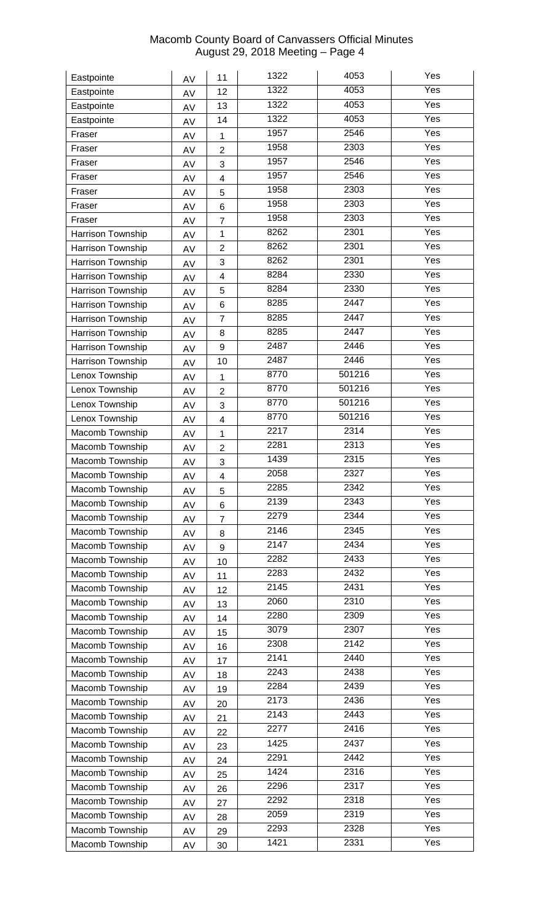| Eastpointe                         | AV | 11                      | 1322 | 4053             | Yes               |
|------------------------------------|----|-------------------------|------|------------------|-------------------|
| Eastpointe                         | AV | 12                      | 1322 | 4053             | Yes               |
| Eastpointe                         | AV | 13                      | 1322 | 4053             | Yes               |
| Eastpointe                         | AV | 14                      | 1322 | 4053             | Yes               |
| Fraser                             | AV | 1                       | 1957 | 2546             | Yes               |
| Fraser                             | AV | $\overline{2}$          | 1958 | 2303             | Yes               |
| Fraser                             | AV | 3                       | 1957 | 2546             | Yes               |
| Fraser                             | AV | $\overline{\mathbf{4}}$ | 1957 | 2546             | Yes               |
| Fraser                             | AV | 5                       | 1958 | 2303             | Yes               |
| Fraser                             | AV | 6                       | 1958 | 2303             | Yes               |
| Fraser                             | AV | $\overline{7}$          | 1958 | 2303             | Yes               |
| Harrison Township                  | AV | $\mathbf{1}$            | 8262 | 2301             | Yes               |
| Harrison Township                  | AV | $\overline{2}$          | 8262 | 2301             | Yes               |
| Harrison Township                  | AV | 3                       | 8262 | 2301             | Yes               |
| Harrison Township                  | AV | 4                       | 8284 | 2330             | Yes               |
| Harrison Township                  | AV | 5                       | 8284 | 2330             | Yes               |
| Harrison Township                  | AV | 6                       | 8285 | 2447             | Yes               |
| Harrison Township                  | AV | $\overline{7}$          | 8285 | $\frac{1}{2447}$ | Yes               |
| Harrison Township                  | AV | 8                       | 8285 | 2447             | $\overline{Yes}$  |
| Harrison Township                  | AV | 9                       | 2487 | 2446             | Yes               |
| Harrison Township                  | AV | 10                      | 2487 | 2446             | Yes               |
| Lenox Township                     |    |                         | 8770 | 501216           | Yes               |
| Lenox Township                     | AV | 1                       | 8770 | 501216           | Yes               |
| Lenox Township                     | AV | $\overline{2}$          | 8770 | 501216           | Yes               |
| Lenox Township                     | AV | 3                       | 8770 | 501216           | Yes               |
| Macomb Township                    | AV | $\overline{\mathbf{4}}$ | 2217 | 2314             | Yes               |
| Macomb Township                    | AV | $\mathbf{1}$            | 2281 | 2313             | Yes               |
| Macomb Township                    | AV | $\overline{2}$          | 1439 | 2315             | Yes               |
|                                    | AV | 3                       | 2058 | 2327             | Yes               |
| Macomb Township<br>Macomb Township | AV | $\overline{\mathbf{4}}$ | 2285 | 2342             | Yes               |
|                                    | AV | 5                       | 2139 | 2343             | $\overline{Y}$ es |
| Macomb Township                    | AV | 6                       | 2279 | 2344             | $\overline{Y}$ es |
| Macomb Township                    | AV | $\overline{7}$          | 2146 | 2345             | Yes               |
| Macomb Township                    | AV | 8                       | 2147 | 2434             | Yes               |
| Macomb Township                    | AV | 9                       | 2282 | 2433             | Yes               |
| Macomb Township                    | AV | 10                      | 2283 | 2432             | Yes               |
| Macomb Township                    | AV | 11                      | 2145 | 2431             | Yes               |
| Macomb Township                    | AV | 12                      | 2060 | 2310             | Yes               |
| Macomb Township                    | AV | 13                      | 2280 | 2309             | Yes               |
| Macomb Township                    | AV | 14                      | 3079 | 2307             | Yes               |
| Macomb Township                    | AV | 15                      | 2308 | 2142             | Yes               |
| Macomb Township                    | AV | 16                      | 2141 | 2440             | Yes               |
| Macomb Township                    | AV | 17                      |      |                  |                   |
| Macomb Township                    | AV | 18                      | 2243 | 2438             | Yes<br>Yes        |
| Macomb Township                    | AV | 19                      | 2284 | 2439             |                   |
| Macomb Township                    | AV | 20                      | 2173 | 2436             | Yes               |
| Macomb Township                    | AV | 21                      | 2143 | 2443             | Yes               |
| Macomb Township                    | AV | 22                      | 2277 | 2416             | Yes               |
| Macomb Township                    | AV | 23                      | 1425 | 2437             | Yes               |
| Macomb Township                    | AV | 24                      | 2291 | 2442             | Yes               |
| Macomb Township                    | AV | 25                      | 1424 | 2316             | Yes               |
| Macomb Township                    | AV | 26                      | 2296 | 2317             | Yes               |
| Macomb Township                    | AV | 27                      | 2292 | 2318             | $\overline{Y}$ es |
| Macomb Township                    | AV | 28                      | 2059 | 2319             | Yes               |
| Macomb Township                    | AV | 29                      | 2293 | 2328             | Yes               |
| Macomb Township                    | AV | 30                      | 1421 | 2331             | Yes               |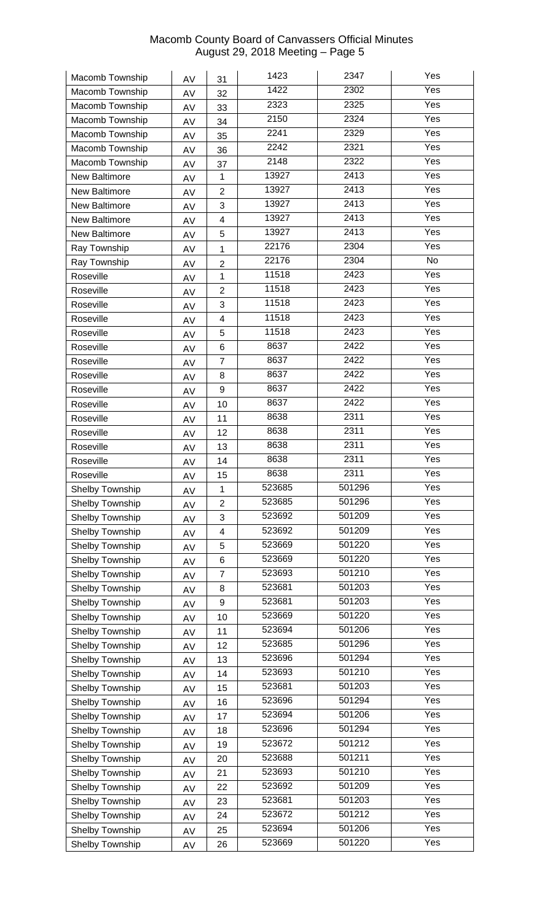| Macomb Township | AV | 31                  | 1423   | 2347   | Yes               |
|-----------------|----|---------------------|--------|--------|-------------------|
| Macomb Township | AV | 32                  | 1422   | 2302   | $\overline{Yes}$  |
| Macomb Township | AV | 33                  | 2323   | 2325   | Yes               |
| Macomb Township | AV | 34                  | 2150   | 2324   | Yes               |
| Macomb Township | AV | 35                  | 2241   | 2329   | Yes               |
| Macomb Township | AV | 36                  | 2242   | 2321   | Yes               |
| Macomb Township | AV | 37                  | 2148   | 2322   | Yes               |
| New Baltimore   | AV | $\mathbf 1$         | 13927  | 2413   | Yes               |
| New Baltimore   | AV | $\overline{2}$      | 13927  | 2413   | Yes               |
| New Baltimore   | AV | 3                   | 13927  | 2413   | Yes               |
| New Baltimore   | AV | 4                   | 13927  | 2413   | Yes               |
| New Baltimore   | AV | 5                   | 13927  | 2413   | Yes               |
| Ray Township    |    | $\mathbf{1}$        | 22176  | 2304   | Yes               |
| Ray Township    | AV |                     | 22176  | 2304   | No                |
| Roseville       | AV | $\overline{2}$<br>1 | 11518  | 2423   | Yes               |
| Roseville       | AV | $\overline{2}$      | 11518  | 2423   | Yes               |
| Roseville       | AV | 3                   | 11518  | 2423   | Yes               |
| Roseville       | AV | 4                   | 11518  | 2423   | Yes               |
|                 | AV |                     | 11518  | 2423   | Yes               |
| Roseville       | AV | 5                   | 8637   | 2422   | Yes               |
| Roseville       | AV | 6                   | 8637   | 2422   | Yes               |
| Roseville       | AV | $\overline{7}$      | 8637   | 2422   | Yes               |
| Roseville       | AV | 8                   |        | 2422   |                   |
| Roseville       | AV | 9                   | 8637   |        | $\overline{Y}$ es |
| Roseville       | AV | 10                  | 8637   | 2422   | Yes               |
| Roseville       | AV | 11                  | 8638   | 2311   | Yes               |
| Roseville       | AV | 12                  | 8638   | 2311   | $\overline{Yes}$  |
| Roseville       | AV | 13                  | 8638   | 2311   | Yes               |
| Roseville       | AV | 14                  | 8638   | 2311   | Yes               |
| Roseville       | AV | 15                  | 8638   | 2311   | Yes               |
| Shelby Township | AV | 1                   | 523685 | 501296 | Yes               |
| Shelby Township | AV | 2                   | 523685 | 501296 | Yes               |
| Shelby Township | AV | 3                   | 523692 | 501209 | Yes               |
| Shelby Township | AV | 4                   | 523692 | 501209 | Yes               |
| Shelby Township | AV | 5                   | 523669 | 501220 | Yes               |
| Shelby Township | AV | 6                   | 523669 | 501220 | Yes               |
| Shelby Township | AV | $\overline{7}$      | 523693 | 501210 | Yes               |
| Shelby Township | AV | 8                   | 523681 | 501203 | Yes               |
| Shelby Township | AV | 9                   | 523681 | 501203 | Yes               |
| Shelby Township | AV | 10                  | 523669 | 501220 | Yes               |
| Shelby Township | AV | 11                  | 523694 | 501206 | Yes               |
| Shelby Township | AV | 12                  | 523685 | 501296 | Yes               |
| Shelby Township | AV | 13                  | 523696 | 501294 | Yes               |
| Shelby Township | AV | 14                  | 523693 | 501210 | Yes               |
| Shelby Township | AV | 15                  | 523681 | 501203 | Yes               |
| Shelby Township | AV | 16                  | 523696 | 501294 | Yes               |
| Shelby Township | AV | 17                  | 523694 | 501206 | Yes               |
| Shelby Township | AV | 18                  | 523696 | 501294 | Yes               |
| Shelby Township | AV | 19                  | 523672 | 501212 | Yes               |
| Shelby Township | AV | 20                  | 523688 | 501211 | Yes               |
| Shelby Township | AV | 21                  | 523693 | 501210 | Yes               |
| Shelby Township | AV | 22                  | 523692 | 501209 | Yes               |
| Shelby Township | AV | 23                  | 523681 | 501203 | Yes               |
| Shelby Township | AV | 24                  | 523672 | 501212 | Yes               |
| Shelby Township | AV | 25                  | 523694 | 501206 | Yes               |
| Shelby Township | AV | 26                  | 523669 | 501220 | Yes               |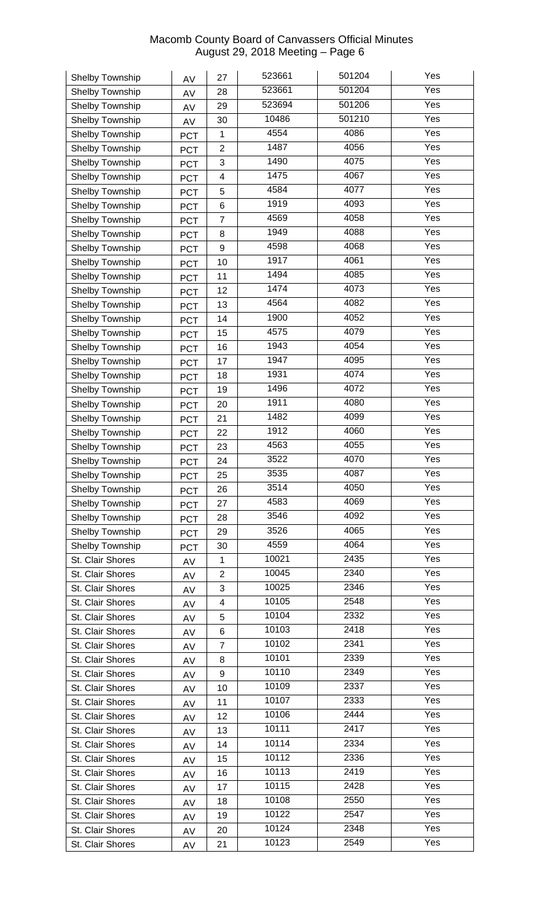| Shelby Township  | AV         | 27             | 523661 | 501204 | Yes              |
|------------------|------------|----------------|--------|--------|------------------|
| Shelby Township  | AV         | 28             | 523661 | 501204 | Yes              |
| Shelby Township  | AV         | 29             | 523694 | 501206 | Yes              |
| Shelby Township  | AV         | 30             | 10486  | 501210 | Yes              |
| Shelby Township  | <b>PCT</b> | 1              | 4554   | 4086   | Yes              |
| Shelby Township  | <b>PCT</b> | $\overline{2}$ | 1487   | 4056   | Yes              |
| Shelby Township  | <b>PCT</b> | 3              | 1490   | 4075   | Yes              |
| Shelby Township  | <b>PCT</b> | 4              | 1475   | 4067   | Yes              |
| Shelby Township  | <b>PCT</b> | 5              | 4584   | 4077   | Yes              |
| Shelby Township  | <b>PCT</b> | 6              | 1919   | 4093   | Yes              |
| Shelby Township  | <b>PCT</b> | $\overline{7}$ | 4569   | 4058   | Yes              |
| Shelby Township  | <b>PCT</b> | 8              | 1949   | 4088   | Yes              |
| Shelby Township  | <b>PCT</b> | 9              | 4598   | 4068   | Yes              |
| Shelby Township  | <b>PCT</b> | 10             | 1917   | 4061   | Yes              |
| Shelby Township  | <b>PCT</b> | 11             | 1494   | 4085   | Yes              |
| Shelby Township  | <b>PCT</b> | 12             | 1474   | 4073   | Yes              |
| Shelby Township  | <b>PCT</b> | 13             | 4564   | 4082   | Yes              |
| Shelby Township  |            | 14             | 1900   | 4052   | Yes              |
| Shelby Township  | <b>PCT</b> | 15             | 4575   | 4079   | Yes              |
| Shelby Township  | <b>PCT</b> | 16             | 1943   | 4054   | Yes              |
|                  | <b>PCT</b> | 17             | 1947   | 4095   | Yes              |
| Shelby Township  | <b>PCT</b> |                | 1931   | 4074   | Yes              |
| Shelby Township  | <b>PCT</b> | 18             | 1496   | 4072   | Yes              |
| Shelby Township  | <b>PCT</b> | 19             | 1911   | 4080   | Yes              |
| Shelby Township  | <b>PCT</b> | 20             | 1482   | 4099   | Yes              |
| Shelby Township  | <b>PCT</b> | 21             | 1912   | 4060   | Yes              |
| Shelby Township  | <b>PCT</b> | 22             |        |        |                  |
| Shelby Township  | <b>PCT</b> | 23             | 4563   | 4055   | Yes              |
| Shelby Township  | <b>PCT</b> | 24             | 3522   | 4070   | Yes              |
| Shelby Township  | <b>PCT</b> | 25             | 3535   | 4087   | $\overline{Yes}$ |
| Shelby Township  | <b>PCT</b> | 26             | 3514   | 4050   | Yes              |
| Shelby Township  | <b>PCT</b> | 27             | 4583   | 4069   | Yes              |
| Shelby Township  | <b>PCT</b> | 28             | 3546   | 4092   | Yes              |
| Shelby Township  | <b>PCT</b> | 29             | 3526   | 4065   | Yes              |
| Shelby Township  | <b>PCT</b> | 30             | 4559   | 4064   | Yes              |
| St. Clair Shores | AV         | $\mathbf 1$    | 10021  | 2435   | Yes              |
| St. Clair Shores | AV         | $\overline{2}$ | 10045  | 2340   | Yes              |
| St. Clair Shores | AV         | 3              | 10025  | 2346   | Yes              |
| St. Clair Shores | AV         | 4              | 10105  | 2548   | Yes              |
| St. Clair Shores | AV         | 5              | 10104  | 2332   | Yes              |
| St. Clair Shores | AV         | 6              | 10103  | 2418   | Yes              |
| St. Clair Shores | AV         | $\overline{7}$ | 10102  | 2341   | Yes              |
| St. Clair Shores | AV         | 8              | 10101  | 2339   | Yes              |
| St. Clair Shores | AV         | 9              | 10110  | 2349   | Yes              |
| St. Clair Shores | AV         | 10             | 10109  | 2337   | Yes              |
| St. Clair Shores | AV         | 11             | 10107  | 2333   | Yes              |
| St. Clair Shores | AV         | 12             | 10106  | 2444   | Yes              |
| St. Clair Shores | AV         | 13             | 10111  | 2417   | Yes              |
| St. Clair Shores | AV         | 14             | 10114  | 2334   | Yes              |
| St. Clair Shores | AV         | 15             | 10112  | 2336   | Yes              |
| St. Clair Shores | AV         | 16             | 10113  | 2419   | Yes              |
| St. Clair Shores | AV         | 17             | 10115  | 2428   | Yes              |
| St. Clair Shores | AV         | 18             | 10108  | 2550   | Yes              |
| St. Clair Shores | AV         | 19             | 10122  | 2547   | Yes              |
| St. Clair Shores | AV         | 20             | 10124  | 2348   | Yes              |
| St. Clair Shores | AV         | 21             | 10123  | 2549   | Yes              |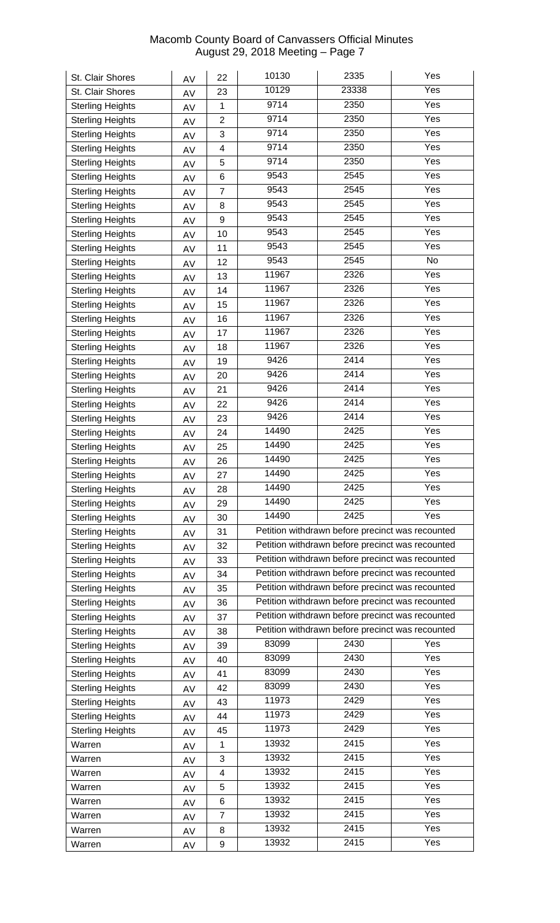| St. Clair Shores        | AV | 22                       | 10130                                            | 2335                                             | Yes               |  |
|-------------------------|----|--------------------------|--------------------------------------------------|--------------------------------------------------|-------------------|--|
| St. Clair Shores        | AV | 23                       | 10129                                            | 23338                                            | Yes               |  |
| <b>Sterling Heights</b> | AV | 1                        | 9714                                             | 2350                                             | Yes               |  |
| <b>Sterling Heights</b> | AV | $\overline{2}$           | 9714                                             | 2350                                             | Yes               |  |
| <b>Sterling Heights</b> | AV | 3                        | 9714                                             | 2350                                             | Yes               |  |
| <b>Sterling Heights</b> | AV | 4                        | 9714                                             | 2350                                             | Yes               |  |
| <b>Sterling Heights</b> | AV | 5                        | 9714                                             | 2350                                             | Yes               |  |
| <b>Sterling Heights</b> | AV | 6                        | 9543                                             | 2545                                             | Yes               |  |
| <b>Sterling Heights</b> | AV | $\overline{7}$           | 9543                                             | 2545                                             | Yes               |  |
| <b>Sterling Heights</b> | AV | 8                        | 9543                                             | 2545                                             | $\overline{Y}$ es |  |
| <b>Sterling Heights</b> | AV | 9                        | 9543                                             | 2545                                             | Yes               |  |
| <b>Sterling Heights</b> | AV | 10                       | 9543                                             | 2545                                             | Yes               |  |
| <b>Sterling Heights</b> | AV | 11                       | 9543                                             | 2545                                             | Yes               |  |
| <b>Sterling Heights</b> |    | 12                       | 9543                                             | 2545                                             | No                |  |
| <b>Sterling Heights</b> | AV | 13                       | 11967                                            | 2326                                             | Yes               |  |
| <b>Sterling Heights</b> | AV | 14                       | 11967                                            | 2326                                             | Yes               |  |
|                         | AV | 15                       | 11967                                            | 2326                                             | Yes               |  |
| <b>Sterling Heights</b> | AV |                          | 11967                                            | 2326                                             | Yes               |  |
| <b>Sterling Heights</b> | AV | 16                       | 11967                                            | 2326                                             | Yes               |  |
| <b>Sterling Heights</b> | AV | 17                       | 11967                                            | 2326                                             | Yes               |  |
| <b>Sterling Heights</b> | AV | 18                       | 9426                                             | 2414                                             | Yes               |  |
| <b>Sterling Heights</b> | AV | 19                       |                                                  |                                                  |                   |  |
| <b>Sterling Heights</b> | AV | 20                       | 9426                                             | 2414                                             | Yes               |  |
| <b>Sterling Heights</b> | AV | 21                       | 9426                                             | 2414                                             | Yes               |  |
| <b>Sterling Heights</b> | AV | 22                       | 9426                                             | 2414                                             | Yes               |  |
| <b>Sterling Heights</b> | AV | 23                       | 9426                                             | 2414                                             | Yes               |  |
| <b>Sterling Heights</b> | AV | 24                       | 14490                                            | 2425                                             | Yes               |  |
| <b>Sterling Heights</b> | AV | 25                       | 14490                                            | 2425                                             | Yes               |  |
| <b>Sterling Heights</b> | AV | 26                       | 14490                                            | 2425                                             | Yes               |  |
| <b>Sterling Heights</b> | AV | 27                       | 14490                                            | 2425                                             | Yes               |  |
| <b>Sterling Heights</b> | AV | 28                       | 14490                                            | 2425                                             | Yes               |  |
| <b>Sterling Heights</b> | AV | 29                       | 14490                                            | 2425                                             | Yes               |  |
| <b>Sterling Heights</b> | AV | 30                       | 14490                                            | 2425                                             | Yes               |  |
| <b>Sterling Heights</b> | AV | 31                       |                                                  | Petition withdrawn before precinct was recounted |                   |  |
| <b>Sterling Heights</b> | AV | 32                       |                                                  | Petition withdrawn before precinct was recounted |                   |  |
| <b>Sterling Heights</b> | AV | 33                       | Petition withdrawn before precinct was recounted |                                                  |                   |  |
| <b>Sterling Heights</b> | AV | 34                       |                                                  | Petition withdrawn before precinct was recounted |                   |  |
| <b>Sterling Heights</b> | AV | 35                       |                                                  | Petition withdrawn before precinct was recounted |                   |  |
| <b>Sterling Heights</b> | AV | 36                       |                                                  | Petition withdrawn before precinct was recounted |                   |  |
| <b>Sterling Heights</b> | AV | 37                       |                                                  | Petition withdrawn before precinct was recounted |                   |  |
| <b>Sterling Heights</b> | AV | 38                       |                                                  | Petition withdrawn before precinct was recounted |                   |  |
| <b>Sterling Heights</b> | AV | 39                       | 83099                                            | 2430                                             | Yes               |  |
| <b>Sterling Heights</b> | AV | 40                       | 83099                                            | 2430                                             | Yes               |  |
| <b>Sterling Heights</b> | AV | 41                       | 83099                                            | 2430                                             | $\overline{Yes}$  |  |
| <b>Sterling Heights</b> | AV | 42                       | 83099                                            | 2430                                             | Yes               |  |
| <b>Sterling Heights</b> | AV | 43                       | 11973                                            | 2429                                             | Yes               |  |
| <b>Sterling Heights</b> | AV | 44                       | 11973                                            | 2429                                             | Yes               |  |
| <b>Sterling Heights</b> |    | 45                       | 11973                                            | 2429                                             | Yes               |  |
| Warren                  | AV | 1                        | 13932                                            | 2415                                             | Yes               |  |
| Warren                  | AV | 3                        | 13932                                            | 2415                                             | Yes               |  |
| Warren                  | AV | $\overline{\mathcal{A}}$ | 13932                                            | 2415                                             | Yes               |  |
| Warren                  | AV | 5                        | 13932                                            | 2415                                             | Yes               |  |
|                         | AV |                          | 13932                                            | 2415                                             | $\overline{Yes}$  |  |
| Warren                  | AV | 6                        | 13932                                            | 2415                                             | Yes               |  |
| Warren                  | AV | $\overline{7}$           | 13932                                            | 2415                                             | Yes               |  |
| Warren                  | AV | 8                        |                                                  |                                                  |                   |  |
| Warren                  | AV | 9                        | 13932                                            | 2415                                             | Yes               |  |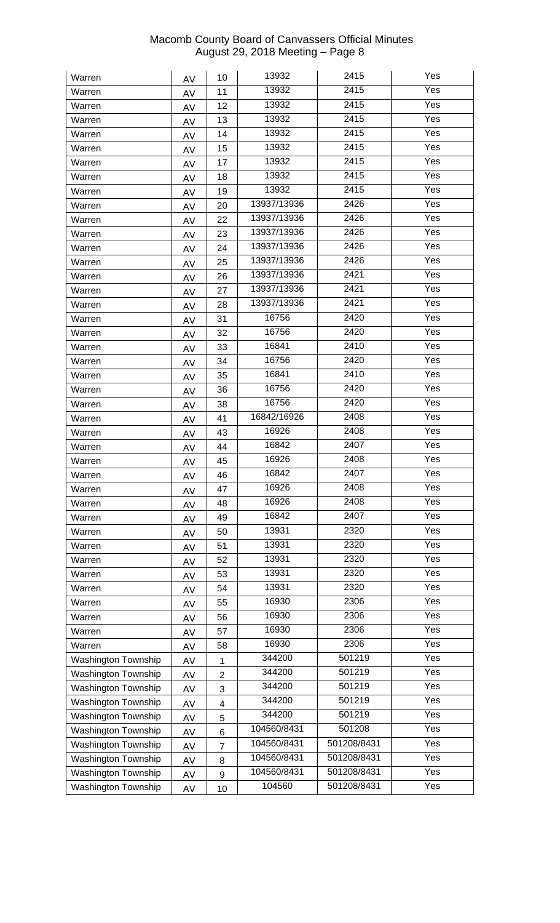| Warren                     | AV       | 10                      | 13932       | 2415        | Yes               |
|----------------------------|----------|-------------------------|-------------|-------------|-------------------|
| Warren                     | AV       | 11                      | 13932       | 2415        | Yes               |
| Warren                     | AV       | 12                      | 13932       | 2415        | Yes               |
| Warren                     | AV       | 13                      | 13932       | 2415        | Yes               |
| Warren                     | AV       | 14                      | 13932       | 2415        | Yes               |
| Warren                     | AV       | 15                      | 13932       | 2415        | Yes               |
| Warren                     | AV       | 17                      | 13932       | 2415        | Yes               |
| Warren                     | AV       | 18                      | 13932       | 2415        | Yes               |
| Warren                     | AV       | 19                      | 13932       | 2415        | Yes               |
| Warren                     | AV       | 20                      | 13937/13936 | 2426        | Yes               |
| Warren                     | AV       | 22                      | 13937/13936 | 2426        | Yes               |
| Warren                     | AV       | 23                      | 13937/13936 | 2426        | Yes               |
| Warren                     | AV       | 24                      | 13937/13936 | 2426        | Yes               |
| Warren                     | AV       | 25                      | 13937/13936 | 2426        | Yes               |
| Warren                     | AV       | 26                      | 13937/13936 | 2421        | Yes               |
| Warren                     | AV       | 27                      | 13937/13936 | 2421        | Yes               |
| Warren                     | AV       | 28                      | 13937/13936 | 2421        | Yes               |
| Warren                     | AV       | 31                      | 16756       | 2420        | Yes               |
| Warren                     | AV       | 32                      | 16756       | 2420        | Yes               |
| Warren                     | AV       | 33                      | 16841       | 2410        | Yes               |
| Warren                     | AV       | 34                      | 16756       | 2420        | Yes               |
| Warren                     | AV       | 35                      | 16841       | 2410        | Yes               |
| Warren                     | AV       | 36                      | 16756       | 2420        | Yes               |
| Warren                     | AV       | 38                      | 16756       | 2420        | Yes               |
| Warren                     |          | 41                      | 16842/16926 | 2408        | Yes               |
| Warren                     | AV       | 43                      | 16926       | 2408        | Yes               |
| Warren                     | AV       | 44                      | 16842       | 2407        | Yes               |
| Warren                     | AV       | 45                      | 16926       | 2408        | Yes               |
| Warren                     | AV       | 46                      | 16842       | 2407        | Yes               |
| Warren                     | AV       | 47                      | 16926       | 2408        | Yes               |
| Warren                     | AV       | 48                      | 16926       | 2408        | Yes               |
| Warren                     | AV       | 49                      | 16842       | 2407        | Yes               |
| Warren                     | AV       | 50                      | 13931       | 2320        | Yes               |
| Warren                     | AV<br>AV | 51                      | 13931       | 2320        | Yes               |
| Warren                     |          | 52                      | 13931       | 2320        | Yes               |
| Warren                     | AV       | 53                      | 13931       | 2320        | Yes               |
| Warren                     | AV<br>AV | 54                      | 13931       | 2320        | Yes               |
| Warren                     |          | 55                      | 16930       | 2306        | $\overline{Y}$ es |
| Warren                     | AV       | 56                      | 16930       | 2306        | Yes               |
| Warren                     | AV<br>AV | 57                      | 16930       | 2306        | Yes               |
| Warren                     |          | 58                      | 16930       | 2306        | Yes               |
| Washington Township        | AV       |                         | 344200      | 501219      | Yes               |
| Washington Township        | AV       | 1                       | 344200      | 501219      | Yes               |
| Washington Township        | AV       | $\overline{2}$          | 344200      | 501219      | Yes               |
| Washington Township        | AV       | 3                       | 344200      | 501219      | Yes               |
| Washington Township        | AV       | $\overline{\mathbf{4}}$ | 344200      | 501219      | Yes               |
| Washington Township        | AV       | 5                       | 104560/8431 | 501208      | Yes               |
| Washington Township        | AV       | 6                       | 104560/8431 | 501208/8431 | Yes               |
| Washington Township        | AV       | $\overline{7}$          | 104560/8431 | 501208/8431 | Yes               |
| Washington Township        | AV       | 8<br>9                  | 104560/8431 | 501208/8431 | Yes               |
| <b>Washington Township</b> | AV       | 10                      | 104560      | 501208/8431 | Yes               |
|                            | AV       |                         |             |             |                   |